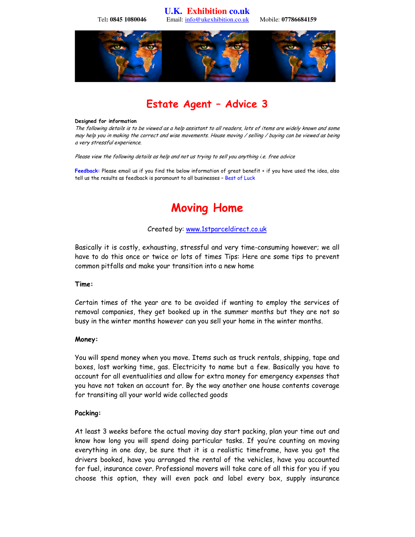**U.K. Exhibition co.uk**  Tel**: 0845 1080046** Email: info@ukexhibition.co.uk Mobile: **07786684159** 



## Estate Agent – Advice 3

#### Designed for information

The following details is to be viewed as a help assistant to all readers, lots of items are widely known and some may help you in making the correct and wise movements. House moving / selling / buying can be viewed as being a very stressful experience.

Please view the following details as help and not us trying to sell you anything i.e. free advice

Feedback: Please email us if you find the below information of great benefit + if you have used the idea, also tell us the results as feedback is paramount to all businesses – Best of Luck

## Moving Home

#### Created by: www.1stparceldirect.co.uk

Basically it is costly, exhausting, stressful and very time-consuming however; we all have to do this once or twice or lots of times Tips: Here are some tips to prevent common pitfalls and make your transition into a new home

#### Time:

Certain times of the year are to be avoided if wanting to employ the services of removal companies, they get booked up in the summer months but they are not so busy in the winter months however can you sell your home in the winter months.

#### Money:

You will spend money when you move. Items such as truck rentals, shipping, tape and boxes, lost working time, gas. Electricity to name but a few. Basically you have to account for all eventualities and allow for extra money for emergency expenses that you have not taken an account for. By the way another one house contents coverage for transiting all your world wide collected goods

#### Packing:

At least 3 weeks before the actual moving day start packing, plan your time out and know how long you will spend doing particular tasks. If you're counting on moving everything in one day, be sure that it is a realistic timeframe, have you got the drivers booked, have you arranged the rental of the vehicles, have you accounted for fuel, insurance cover. Professional movers will take care of all this for you if you choose this option, they will even pack and label every box, supply insurance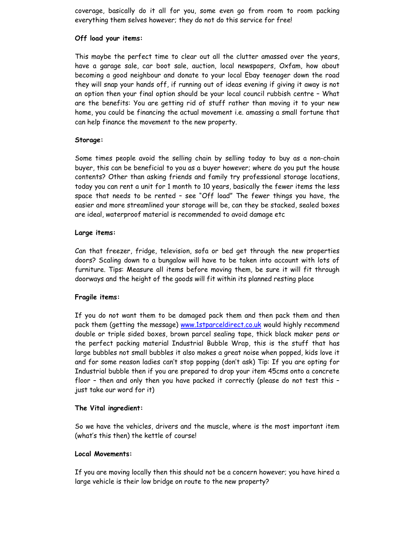coverage, basically do it all for you, some even go from room to room packing everything them selves however; they do not do this service for free!

#### Off load your items:

This maybe the perfect time to clear out all the clutter amassed over the years, have a garage sale, car boot sale, auction, local newspapers, Oxfam, how about becoming a good neighbour and donate to your local Ebay teenager down the road they will snap your hands off, if running out of ideas evening if giving it away is not an option then your final option should be your local council rubbish centre – What are the benefits: You are getting rid of stuff rather than moving it to your new home, you could be financing the actual movement i.e. amassing a small fortune that can help finance the movement to the new property.

## Storage:

Some times people avoid the selling chain by selling today to buy as a non-chain buyer, this can be beneficial to you as a buyer however; where do you put the house contents? Other than asking friends and family try professional storage locations, today you can rent a unit for 1 month to 10 years, basically the fewer items the less space that needs to be rented – see "Off load" The fewer things you have, the easier and more streamlined your storage will be, can they be stacked, sealed boxes are ideal, waterproof material is recommended to avoid damage etc

## Large items:

Can that freezer, fridge, television, sofa or bed get through the new properties doors? Scaling down to a bungalow will have to be taken into account with lots of furniture. Tips: Measure all items before moving them, be sure it will fit through doorways and the height of the goods will fit within its planned resting place

## Fragile items:

If you do not want them to be damaged pack them and then pack them and then pack them (getting the message) www.1stparceldirect.co.uk would highly recommend double or triple sided boxes, brown parcel sealing tape, thick black maker pens or the perfect packing material Industrial Bubble Wrap, this is the stuff that has large bubbles not small bubbles it also makes a great noise when popped, kids love it and for some reason ladies can't stop popping (don't ask) Tip: If you are opting for Industrial bubble then if you are prepared to drop your item 45cms onto a concrete floor – then and only then you have packed it correctly (please do not test this – just take our word for it)

## The Vital ingredient:

So we have the vehicles, drivers and the muscle, where is the most important item (what's this then) the kettle of course!

## Local Movements:

If you are moving locally then this should not be a concern however; you have hired a large vehicle is their low bridge on route to the new property?